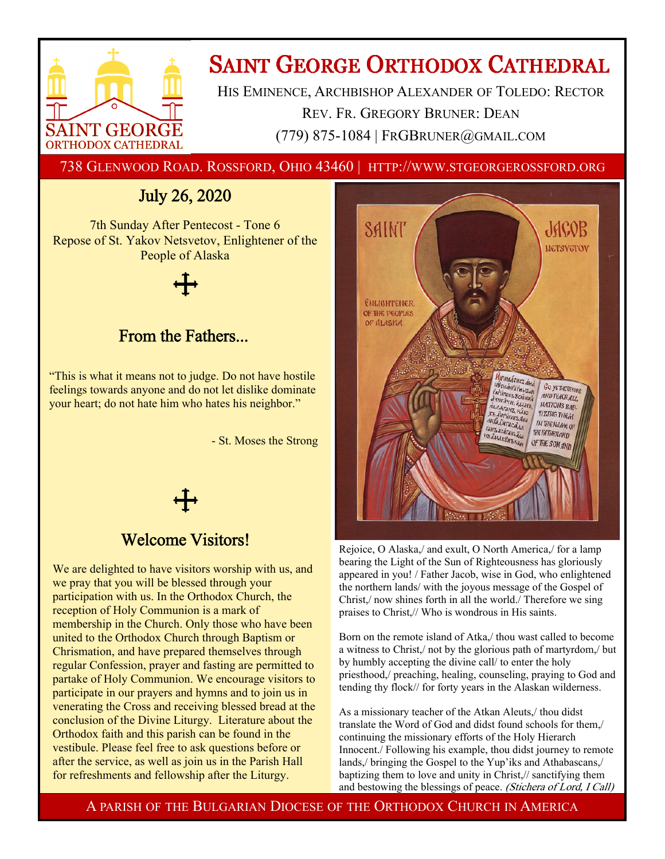

# **SAINT GEORGE ORTHODOX CATHEDRAL**

HIS EMINENCE, ARCHBISHOP ALEXANDER OF TOLEDO: RECTOR REV. FR. GREGORY BRUNER: DEAN (779) 875-1084 | FRGBRUNER@GMAIL.COM

738 GLENWOOD ROAD. ROSSFORD, OHIO 43460 | HTTP://WWW.STGEORGEROSSFORD.ORG

## July 26, 2020

7th Sunday After Pentecost - Tone 6 Repose of St. Yakov Netsvetov, Enlightener of the People of Alaska

### From the Fathers...

"This is what it means not to judge. Do not have hostile feelings towards anyone and do not let dislike dominate your heart; do not hate him who hates his neighbor."

- St. Moses the Strong

### Welcome Visitors!

We are delighted to have visitors worship with us, and we pray that you will be blessed through your participation with us. In the Orthodox Church, the reception of Holy Communion is a mark of membership in the Church. Only those who have been united to the Orthodox Church through Baptism or Chrismation, and have prepared themselves through regular Confession, prayer and fasting are permitted to partake of Holy Communion. We encourage visitors to participate in our prayers and hymns and to join us in venerating the Cross and receiving blessed bread at the conclusion of the Divine Liturgy. Literature about the Orthodox faith and this parish can be found in the vestibule. Please feel free to ask questions before or after the service, as well as join us in the Parish Hall for refreshments and fellowship after the Liturgy.



Rejoice, O Alaska,/ and exult, O North America,/ for a lamp bearing the Light of the Sun of Righteousness has gloriously appeared in you! / Father Jacob, wise in God, who enlightened the northern lands/ with the joyous message of the Gospel of Christ,/ now shines forth in all the world./ Therefore we sing praises to Christ,// Who is wondrous in His saints.

Born on the remote island of Atka,/ thou wast called to become a witness to Christ,/ not by the glorious path of martyrdom,/ but by humbly accepting the divine call/ to enter the holy priesthood,/ preaching, healing, counseling, praying to God and tending thy flock// for forty years in the Alaskan wilderness.

As a missionary teacher of the Atkan Aleuts,/ thou didst translate the Word of God and didst found schools for them,/ continuing the missionary efforts of the Holy Hierarch Innocent./ Following his example, thou didst journey to remote lands,/ bringing the Gospel to the Yup'iks and Athabascans,/ baptizing them to love and unity in Christ,// sanctifying them and bestowing the blessings of peace. (Stichera of Lord, I Call)

A PARISH OF THE BULGARIAN DIOCESE OF THE ORTHODOX CHURCH IN AMERICA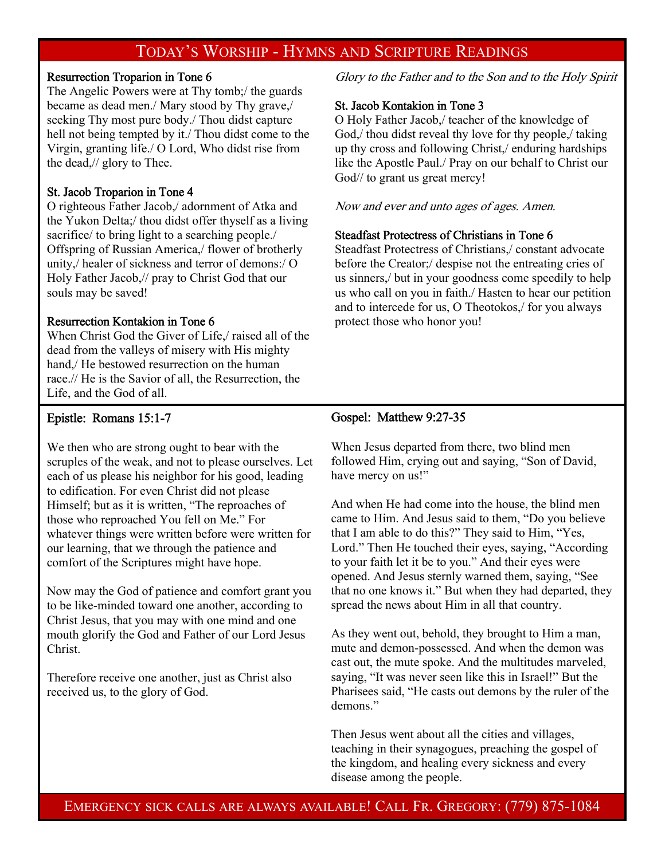### TODAY'S WORSHIP - HYMNS AND SCRIPTURE READINGS

#### Resurrection Troparion in Tone 6

The Angelic Powers were at Thy tomb;/ the guards became as dead men./ Mary stood by Thy grave,/ seeking Thy most pure body./ Thou didst capture hell not being tempted by it./ Thou didst come to the Virgin, granting life./ O Lord, Who didst rise from the dead,// glory to Thee.

#### St. Jacob Troparion in Tone 4

O righteous Father Jacob,/ adornment of Atka and the Yukon Delta;/ thou didst offer thyself as a living sacrifice/ to bring light to a searching people./ Offspring of Russian America,/ flower of brotherly unity,/ healer of sickness and terror of demons:/ O Holy Father Jacob,// pray to Christ God that our souls may be saved!

#### Resurrection Kontakion in Tone 6

When Christ God the Giver of Life,/ raised all of the dead from the valleys of misery with His mighty hand,/ He bestowed resurrection on the human race.// He is the Savior of all, the Resurrection, the Life, and the God of all.

#### Epistle: Romans 15:1-7

We then who are strong ought to bear with the scruples of the weak, and not to please ourselves. Let each of us please his neighbor for his good, leading to edification. For even Christ did not please Himself; but as it is written, "The reproaches of those who reproached You fell on Me." For whatever things were written before were written for our learning, that we through the patience and comfort of the Scriptures might have hope.

Now may the God of patience and comfort grant you to be like-minded toward one another, according to Christ Jesus, that you may with one mind and one mouth glorify the God and Father of our Lord Jesus Christ.

Therefore receive one another, just as Christ also received us, to the glory of God.

Glory to the Father and to the Son and to the Holy Spirit

#### St. Jacob Kontakion in Tone 3

O Holy Father Jacob,/ teacher of the knowledge of God,/ thou didst reveal thy love for thy people,/ taking up thy cross and following Christ,/ enduring hardships like the Apostle Paul./ Pray on our behalf to Christ our God// to grant us great mercy!

Now and ever and unto ages of ages. Amen.

#### Steadfast Protectress of Christians in Tone 6

Steadfast Protectress of Christians,/ constant advocate before the Creator;/ despise not the entreating cries of us sinners,/ but in your goodness come speedily to help us who call on you in faith./ Hasten to hear our petition and to intercede for us, O Theotokos,/ for you always protect those who honor you!

#### Gospel: Matthew 9:27-35

When Jesus departed from there, two blind men followed Him, crying out and saying, "Son of David, have mercy on us!"

And when He had come into the house, the blind men came to Him. And Jesus said to them, "Do you believe that I am able to do this?" They said to Him, "Yes, Lord." Then He touched their eyes, saying, "According to your faith let it be to you." And their eyes were opened. And Jesus sternly warned them, saying, "See that no one knows it." But when they had departed, they spread the news about Him in all that country.

As they went out, behold, they brought to Him a man, mute and demon-possessed. And when the demon was cast out, the mute spoke. And the multitudes marveled, saying, "It was never seen like this in Israel!" But the Pharisees said, "He casts out demons by the ruler of the demons."

Then Jesus went about all the cities and villages, teaching in their synagogues, preaching the gospel of the kingdom, and healing every sickness and every disease among the people.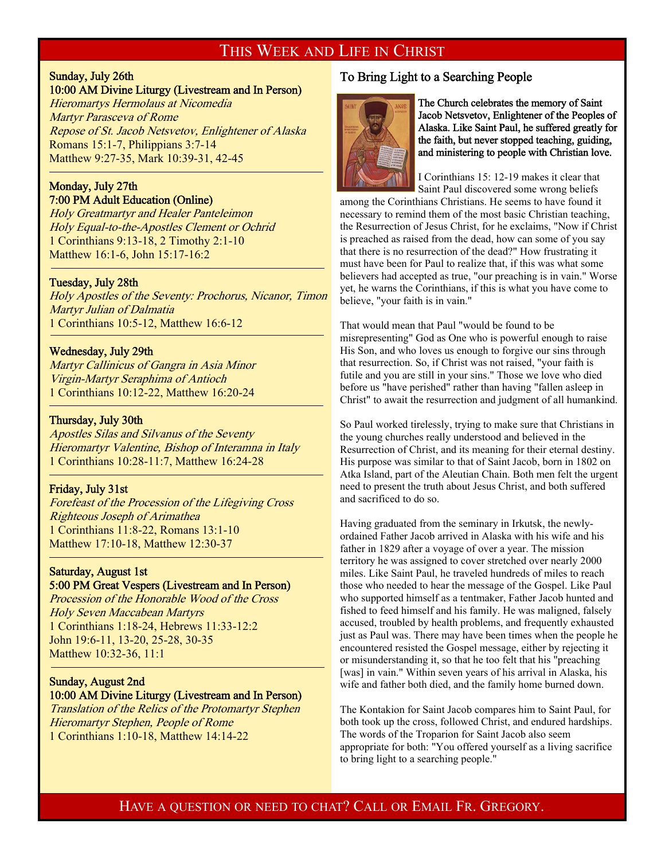### THIS WEEK AND LIFE IN CHRIST

## Sunday, July 26th

#### 10:00 AM Divine Liturgy (Livestream and In Person)

Hieromartys Hermolaus at Nicomedia Martyr Parasceva of Rome Repose of St. Jacob Netsvetov, Enlightener of Alaska Romans 15:1-7, Philippians 3:7-14 Matthew 9:27-35, Mark 10:39-31, 42-45

#### Monday, July 27th 7:00 PM Adult Education (Online)

Holy Greatmartyr and Healer Panteleimon Holy Equal-to-the-Apostles Clement or Ochrid 1 Corinthians 9:13-18, 2 Timothy 2:1-10 Matthew 16:1-6, John 15:17-16:2

#### Tuesday, July 28th

-

f

-

Holy Apostles of the Seventy: Prochorus, Nicanor, Timon Martyr Julian of Dalmatia 1 Corinthians 10:5-12, Matthew 16:6-12

#### Wednesday, July 29th

Martyr Callinicus of Gangra in Asia Minor Virgin-Martyr Seraphima of Antioch 1 Corinthians 10:12-22, Matthew 16:20-24

#### Thursday, July 30th

Apostles Silas and Silvanus of the Seventy Hieromartyr Valentine, Bishop of Interamna in Italy 1 Corinthians 10:28-11:7, Matthew 16:24-28

#### Friday, July 31st

Forefeast of the Procession of the Lifegiving Cross Righteous Joseph of Arimathea 1 Corinthians 11:8-22, Romans 13:1-10 Matthew 17:10-18, Matthew 12:30-37

#### Saturday, August 1st 5:00 PM Great Vespers (Livestream and In Person)

Procession of the Honorable Wood of the Cross Holy Seven Maccabean Martyrs 1 Corinthians 1:18-24, Hebrews 11:33-12:2 John 19:6-11, 13-20, 25-28, 30-35 Matthew 10:32-36, 11:1

### Sunday, August 2nd

#### 10:00 AM Divine Liturgy (Livestream and In Person) Translation of the Relics of the Protomartyr Stephen

Hieromartyr Stephen, People of Rome 1 Corinthians 1:10-18, Matthew 14:14-22

#### To Bring Light to a Searching People



The Church celebrates the memory of Saint Jacob Netsvetov, Enlightener of the Peoples of Alaska. Like Saint Paul, he suffered greatly for the faith, but never stopped teaching, guiding, and ministering to people with Christian love.

I Corinthians 15: 12-19 makes it clear that Saint Paul discovered some wrong beliefs

among the Corinthians Christians. He seems to have found it necessary to remind them of the most basic Christian teaching, the Resurrection of Jesus Christ, for he exclaims, "Now if Christ is preached as raised from the dead, how can some of you say that there is no resurrection of the dead?" How frustrating it must have been for Paul to realize that, if this was what some believers had accepted as true, "our preaching is in vain." Worse yet, he warns the Corinthians, if this is what you have come to believe, "your faith is in vain."

That would mean that Paul "would be found to be misrepresenting" God as One who is powerful enough to raise His Son, and who loves us enough to forgive our sins through that resurrection. So, if Christ was not raised, "your faith is futile and you are still in your sins." Those we love who died before us "have perished" rather than having "fallen asleep in Christ" to await the resurrection and judgment of all humankind.

So Paul worked tirelessly, trying to make sure that Christians in the young churches really understood and believed in the Resurrection of Christ, and its meaning for their eternal destiny. His purpose was similar to that of Saint Jacob, born in 1802 on Atka Island, part of the Aleutian Chain. Both men felt the urgent need to present the truth about Jesus Christ, and both suffered and sacrificed to do so.

Having graduated from the seminary in Irkutsk, the newlyordained Father Jacob arrived in Alaska with his wife and his father in 1829 after a voyage of over a year. The mission territory he was assigned to cover stretched over nearly 2000 miles. Like Saint Paul, he traveled hundreds of miles to reach those who needed to hear the message of the Gospel. Like Paul who supported himself as a tentmaker, Father Jacob hunted and fished to feed himself and his family. He was maligned, falsely accused, troubled by health problems, and frequently exhausted just as Paul was. There may have been times when the people he encountered resisted the Gospel message, either by rejecting it or misunderstanding it, so that he too felt that his "preaching [was] in vain." Within seven years of his arrival in Alaska, his wife and father both died, and the family home burned down.

The Kontakion for Saint Jacob compares him to Saint Paul, for both took up the cross, followed Christ, and endured hardships. The words of the Troparion for Saint Jacob also seem appropriate for both: "You offered yourself as a living sacrifice to bring light to a searching people."

### HAVE A QUESTION OR NEED TO CHAT? CALL OR EMAIL FR. GREGORY.